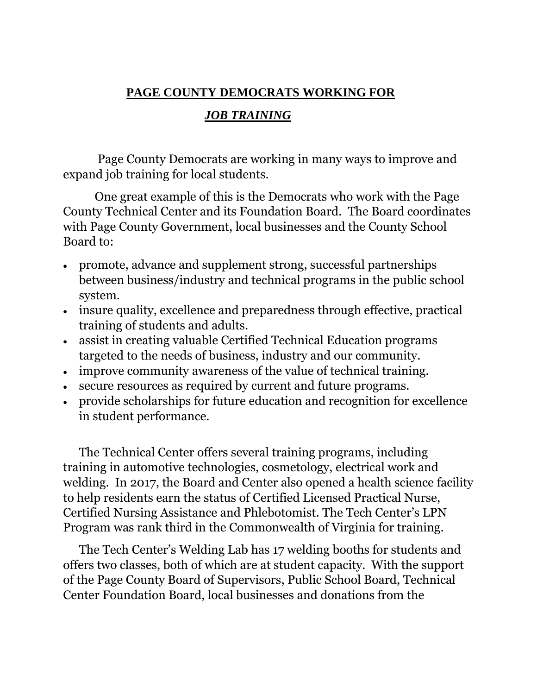## **PAGE COUNTY DEMOCRATS WORKING FOR**

## *JOB TRAINING*

Page County Democrats are working in many ways to improve and expand job training for local students.

One great example of this is the Democrats who work with the Page County Technical Center and its Foundation Board. The Board coordinates with Page County Government, local businesses and the County School Board to:

- promote, advance and supplement strong, successful partnerships between business/industry and technical programs in the public school system.
- insure quality, excellence and preparedness through effective, practical training of students and adults.
- assist in creating valuable Certified Technical Education programs targeted to the needs of business, industry and our community.
- improve community awareness of the value of technical training.
- secure resources as required by current and future programs.
- provide scholarships for future education and recognition for excellence in student performance.

The Technical Center offers several training programs, including training in automotive technologies, cosmetology, electrical work and welding. In 2017, the Board and Center also opened a health science facility to help residents earn the status of Certified Licensed Practical Nurse, Certified Nursing Assistance and Phlebotomist. The Tech Center's LPN Program was rank third in the Commonwealth of Virginia for training.

The Tech Center's Welding Lab has 17 welding booths for students and offers two classes, both of which are at student capacity. With the support of the Page County Board of Supervisors, Public School Board, Technical Center Foundation Board, local businesses and donations from the